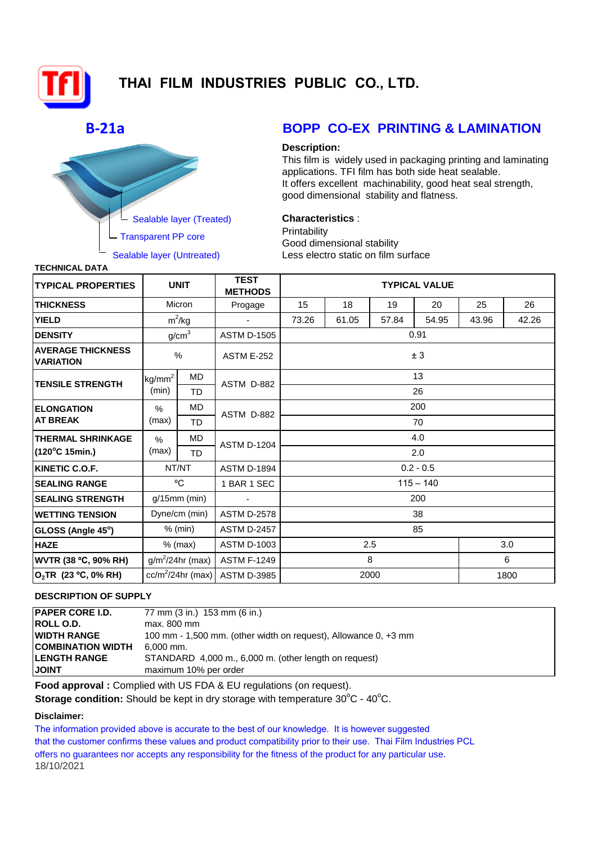

# **THAI FILM INDUSTRIES PUBLIC CO., LTD.**

# **B-21a**



## **BOPP CO-EX PRINTING & LAMINATION**

### **Description:**

This film is widely used in packaging printing and laminating applications. TFI film has both side heat sealable. It offers excellent machinability, good heat seal strength, good dimensional stability and flatness.

## **Characteristics** :

**Printability** Good dimensional stability Less electro static on film surface

**TECHNICAL DATA**

| <b>TYPICAL PROPERTIES</b>                    | <b>UNIT</b>         |           | <b>TEST</b><br><b>METHODS</b> | <b>TYPICAL VALUE</b> |       |       |       |       |       |  |  |
|----------------------------------------------|---------------------|-----------|-------------------------------|----------------------|-------|-------|-------|-------|-------|--|--|
| <b>THICKNESS</b>                             | Micron              |           | Progage                       | 15                   | 18    | 19    | 20    | 25    | 26    |  |  |
| <b>YIELD</b>                                 | $m^2/kg$            |           |                               | 73.26                | 61.05 | 57.84 | 54.95 | 43.96 | 42.26 |  |  |
| <b>DENSITY</b>                               | g/cm <sup>3</sup>   |           | <b>ASTM D-1505</b>            | 0.91                 |       |       |       |       |       |  |  |
| <b>AVERAGE THICKNESS</b><br><b>VARIATION</b> | $\frac{0}{0}$       |           | <b>ASTM E-252</b>             | ± 3                  |       |       |       |       |       |  |  |
| <b>TENSILE STRENGTH</b>                      | kg/mm <sup>2</sup>  | MD        | ASTM D-882                    | 13                   |       |       |       |       |       |  |  |
|                                              | (min)               | TD        |                               | 26                   |       |       |       |       |       |  |  |
| <b>ELONGATION</b><br><b>AT BREAK</b>         | %                   | MD        | ASTM D-882                    | 200                  |       |       |       |       |       |  |  |
|                                              | (max)               | TD        |                               | 70                   |       |       |       |       |       |  |  |
| <b>THERMAL SHRINKAGE</b>                     | $\frac{0}{0}$       | <b>MD</b> | <b>ASTM D-1204</b>            | 4.0                  |       |       |       |       |       |  |  |
| $(120^{\circ}C 15$ min.)                     | (max)               | <b>TD</b> |                               | 2.0                  |       |       |       |       |       |  |  |
| KINETIC C.O.F.                               | NT/NT               |           | <b>ASTM D-1894</b>            | $0.2 - 0.5$          |       |       |       |       |       |  |  |
| <b>SEALING RANGE</b>                         | °C                  |           | 1 BAR 1 SEC                   | $115 - 140$          |       |       |       |       |       |  |  |
| <b>SEALING STRENGTH</b>                      | $g/15$ mm (min)     |           |                               | 200                  |       |       |       |       |       |  |  |
| <b>WETTING TENSION</b>                       | Dyne/cm (min)       |           | <b>ASTM D-2578</b>            | 38                   |       |       |       |       |       |  |  |
| GLOSS (Angle 45°)                            | $%$ (min)           |           | <b>ASTM D-2457</b>            | 85                   |       |       |       |       |       |  |  |
| <b>HAZE</b>                                  | $%$ (max)           |           | <b>ASTM D-1003</b>            | 2.5                  |       |       |       |       | 3.0   |  |  |
| <b>WVTR (38 °C, 90% RH)</b>                  | $g/m^2/24$ hr (max) |           | <b>ASTM F-1249</b>            | 8                    |       |       |       | 6     |       |  |  |
| $O_2$ TR (23 °C, 0% RH)                      | $cc/m^2/24hr$ (max) |           | <b>ASTM D-3985</b>            | 1800<br>2000         |       |       |       |       |       |  |  |

## **DESCRIPTION OF SUPPLY**

| IPAPER CORE I.D.          | 77 mm (3 in.) 153 mm (6 in.)                                    |
|---------------------------|-----------------------------------------------------------------|
| <b>ROLL O.D.</b>          | max, 800 mm                                                     |
| IWIDTH RANGE              | 100 mm - 1,500 mm. (other width on request), Allowance 0, +3 mm |
| <b>ICOMBINATION WIDTH</b> | 6.000 mm.                                                       |
| <b>ILENGTH RANGE</b>      | STANDARD 4,000 m., 6,000 m. (other length on request)           |
| <b>JOINT</b>              | maximum 10% per order                                           |
|                           |                                                                 |

**Food approval :** Complied with US FDA & EU regulations (on request).

**Storage condition:** Should be kept in dry storage with temperature 30°C - 40°C.

### **Disclaimer:**

The information provided above is accurate to the best of our knowledge. It is however suggested that the customer confirms these values and product compatibility prior to their use. Thai Film Industries PCL offers no guarantees nor accepts any responsibility for the fitness of the product for any particular use. 18/10/2021